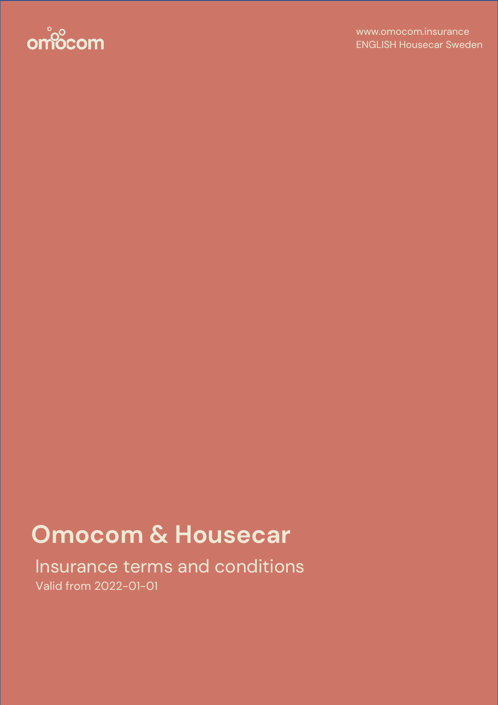

# **Omocom & Housecar**

Insurance terms and conditions Valid from 2022-01-01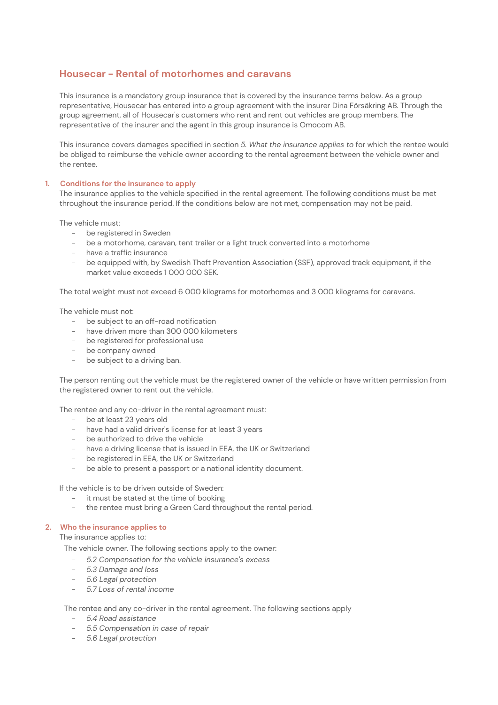# **Housecar - Rental of motorhomes and caravans**

This insurance is a mandatory group insurance that is covered by the insurance terms below. As a group representative, Housecar has entered into a group agreement with the insurer Dina Försäkring AB. Through the group agreement, all of Housecar's customers who rent and rent out vehicles are group members. The representative of the insurer and the agent in this group insurance is Omocom AB.

This insurance covers damages specified in section *5. What the insurance applies to* for which the rentee would be obliged to reimburse the vehicle owner according to the rental agreement between the vehicle owner and the rentee.

# **1. Conditions for the insurance to apply**

The insurance applies to the vehicle specified in the rental agreement. The following conditions must be met throughout the insurance period. If the conditions below are not met, compensation may not be paid.

The vehicle must:

- be registered in Sweden
- be a motorhome, caravan, tent trailer or a light truck converted into a motorhome
- have a traffic insurance
- be equipped with, by Swedish Theft Prevention Association (SSF), approved track equipment, if the market value exceeds 1 000 000 SEK.

The total weight must not exceed 6 000 kilograms for motorhomes and 3 000 kilograms for caravans.

The vehicle must not:

- be subject to an off-road notification
- have driven more than 300 000 kilometers
- be registered for professional use
- be company owned
- be subject to a driving ban.

The person renting out the vehicle must be the registered owner of the vehicle or have written permission from the registered owner to rent out the vehicle.

The rentee and any co-driver in the rental agreement must:

- be at least 23 years old
- have had a valid driver's license for at least 3 years
- be authorized to drive the vehicle
- have a driving license that is issued in EEA, the UK or Switzerland
- be registered in EEA, the UK or Switzerland
- be able to present a passport or a national identity document.

If the vehicle is to be driven outside of Sweden:

- it must be stated at the time of booking
- the rentee must bring a Green Card throughout the rental period.

#### **2. Who the insurance applies to**

The insurance applies to:

The vehicle owner. The following sections apply to the owner:

- *5.2 Compensation for the vehicle insurance's excess*
- *5.3 Damage and loss*
- *5.6 Legal protection*
- *5.7 Loss of rental income*

The rentee and any co-driver in the rental agreement. The following sections apply

- *5.4 Road assistance*
- *5.5 Compensation in case of repair*
- *5.6 Legal protection*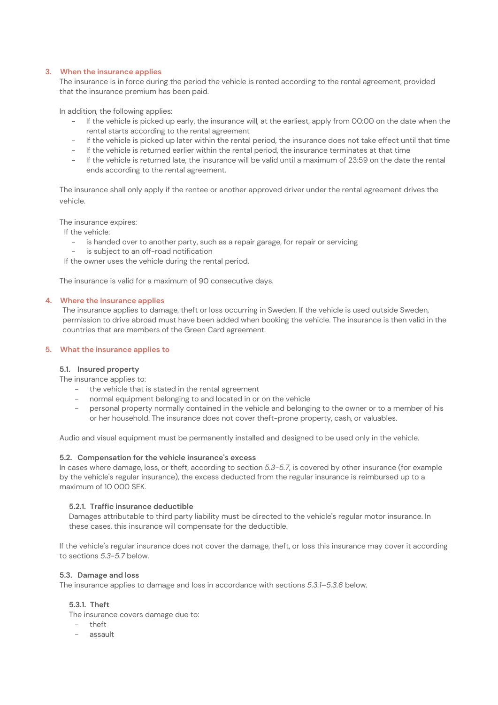# **3. When the insurance applies**

The insurance is in force during the period the vehicle is rented according to the rental agreement, provided that the insurance premium has been paid.

In addition, the following applies:

- If the vehicle is picked up early, the insurance will, at the earliest, apply from 00:00 on the date when the rental starts according to the rental agreement
- If the vehicle is picked up later within the rental period, the insurance does not take effect until that time
- If the vehicle is returned earlier within the rental period, the insurance terminates at that time
- If the vehicle is returned late, the insurance will be valid until a maximum of 23:59 on the date the rental ends according to the rental agreement.

The insurance shall only apply if the rentee or another approved driver under the rental agreement drives the vehicle.

The insurance expires:

- If the vehicle:
	- is handed over to another party, such as a repair garage, for repair or servicing
	- is subject to an off-road notification
- If the owner uses the vehicle during the rental period.

The insurance is valid for a maximum of 90 consecutive days.

# **4. Where the insurance applies**

The insurance applies to damage, theft or loss occurring in Sweden. If the vehicle is used outside Sweden, permission to drive abroad must have been added when booking the vehicle. The insurance is then valid in the countries that are members of the Green Card agreement.

# **5. What the insurance applies to**

#### **5.1. Insured property**

The insurance applies to:

- the vehicle that is stated in the rental agreement
- normal equipment belonging to and located in or on the vehicle
- personal property normally contained in the vehicle and belonging to the owner or to a member of his or her household. The insurance does not cover theft-prone property, cash, or valuables.

Audio and visual equipment must be permanently installed and designed to be used only in the vehicle.

#### **5.2. Compensation for the vehicle insurance's excess**

In cases where damage, loss, or theft, according to section *5.3-5.7*, is covered by other insurance (for example by the vehicle's regular insurance), the excess deducted from the regular insurance is reimbursed up to a maximum of 10 000 SEK.

#### **5.2.1. Traffic insurance deductible**

Damages attributable to third party liability must be directed to the vehicle's regular motor insurance. In these cases, this insurance will compensate for the deductible.

If the vehicle's regular insurance does not cover the damage, theft, or loss this insurance may cover it according to sections *5.3-5.7* below.

#### **5.3. Damage and loss**

The insurance applies to damage and loss in accordance with sections *5.3.1–5.3.6* below.

# **5.3.1. Theft**

The insurance covers damage due to:

- theft
- assault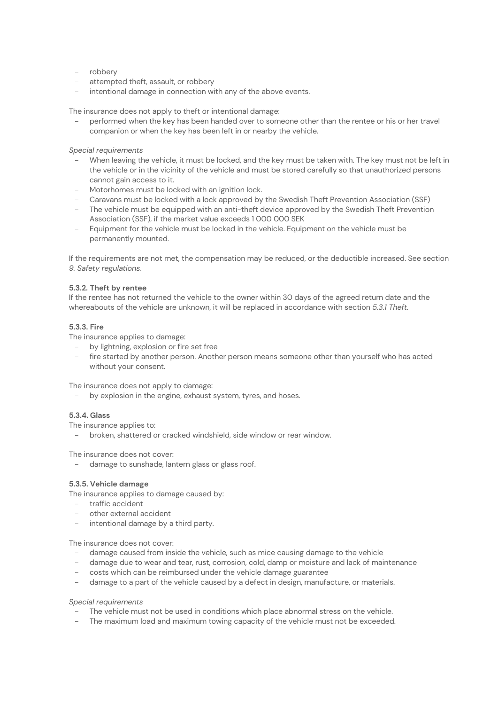- robbery
- attempted theft, assault, or robbery
- intentional damage in connection with any of the above events.

The insurance does not apply to theft or intentional damage:

performed when the key has been handed over to someone other than the rentee or his or her travel companion or when the key has been left in or nearby the vehicle.

*Special requirements*

- When leaving the vehicle, it must be locked, and the key must be taken with. The key must not be left in the vehicle or in the vicinity of the vehicle and must be stored carefully so that unauthorized persons cannot gain access to it.
- Motorhomes must be locked with an ignition lock.
- Caravans must be locked with a lock approved by the Swedish Theft Prevention Association (SSF)
- The vehicle must be equipped with an anti-theft device approved by the Swedish Theft Prevention Association (SSF), if the market value exceeds 1 000 000 SEK
- Equipment for the vehicle must be locked in the vehicle. Equipment on the vehicle must be permanently mounted.

If the requirements are not met, the compensation may be reduced, or the deductible increased. See section *9. Safety regulations*.

# **5.3.2. Theft by rentee**

If the rentee has not returned the vehicle to the owner within 30 days of the agreed return date and the whereabouts of the vehicle are unknown, it will be replaced in accordance with section *5.3.1 Theft*.

# **5.3.3. Fire**

The insurance applies to damage:

- by lightning, explosion or fire set free
- fire started by another person. Another person means someone other than yourself who has acted without your consent.

The insurance does not apply to damage:

by explosion in the engine, exhaust system, tyres, and hoses.

# **5.3.4. Glass**

The insurance applies to:

- broken, shattered or cracked windshield, side window or rear window.

The insurance does not cover:

damage to sunshade, lantern glass or glass roof.

## **5.3.5. Vehicle damage**

The insurance applies to damage caused by:

- traffic accident
- other external accident
- intentional damage by a third party.

The insurance does not cover:

- damage caused from inside the vehicle, such as mice causing damage to the vehicle
- damage due to wear and tear, rust, corrosion, cold, damp or moisture and lack of maintenance
- costs which can be reimbursed under the vehicle damage guarantee
- damage to a part of the vehicle caused by a defect in design, manufacture, or materials.

*Special requirements* 

- The vehicle must not be used in conditions which place abnormal stress on the vehicle.
- The maximum load and maximum towing capacity of the vehicle must not be exceeded.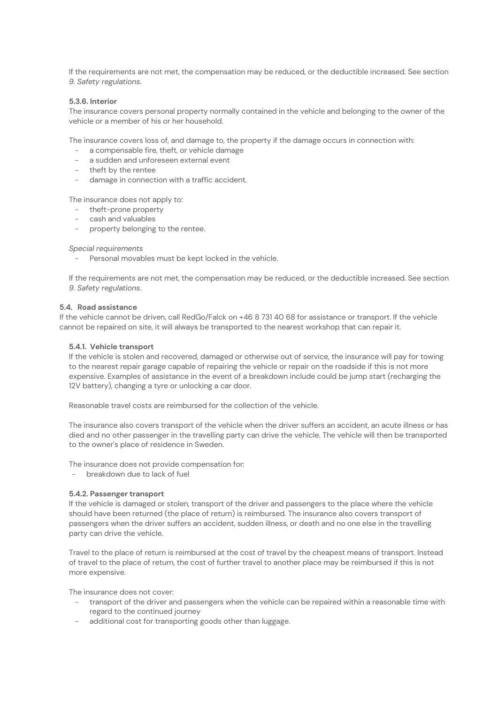If the requirements are not met, the compensation may be reduced, or the deductible increased. See section *9. Safety regulations.* 

#### **5.3.6. Interior**

The insurance covers personal property normally contained in the vehicle and belonging to the owner of the vehicle or a member of his or her household.

The insurance covers loss of, and damage to, the property if the damage occurs in connection with:

- a compensable fire, theft, or vehicle damage
- a sudden and unforeseen external event
- theft by the rentee
- damage in connection with a traffic accident.

The insurance does not apply to:

- theft-prone property
- cash and valuables
- property belonging to the rentee.

*Special requirements* 

- Personal movables must be kept locked in the vehicle.

If the requirements are not met, the compensation may be reduced, or the deductible increased. See section *9. Safety regulations*.

## **5.4. Road assistance**

If the vehicle cannot be driven, call RedGo/Falck on +46 8 731 40 68 for assistance or transport. If the vehicle cannot be repaired on site, it will always be transported to the nearest workshop that can repair it.

#### **5.4.1. Vehicle transport**

If the vehicle is stolen and recovered, damaged or otherwise out of service, the insurance will pay for towing to the nearest repair garage capable of repairing the vehicle or repair on the roadside if this is not more expensive. Examples of assistance in the event of a breakdown include could be jump start (recharging the 12V battery), changing a tyre or unlocking a car door.

Reasonable travel costs are reimbursed for the collection of the vehicle.

The insurance also covers transport of the vehicle when the driver suffers an accident, an acute illness or has died and no other passenger in the travelling party can drive the vehicle. The vehicle will then be transported to the owner's place of residence in Sweden.

The insurance does not provide compensation for:

- breakdown due to lack of fuel

#### **5.4.2. Passenger transport**

If the vehicle is damaged or stolen, transport of the driver and passengers to the place where the vehicle should have been returned (the place of return) is reimbursed. The insurance also covers transport of passengers when the driver suffers an accident, sudden illness, or death and no one else in the travelling party can drive the vehicle.

Travel to the place of return is reimbursed at the cost of travel by the cheapest means of transport. Instead of travel to the place of return, the cost of further travel to another place may be reimbursed if this is not more expensive.

The insurance does not cover:

- transport of the driver and passengers when the vehicle can be repaired within a reasonable time with regard to the continued journey
- additional cost for transporting goods other than luggage.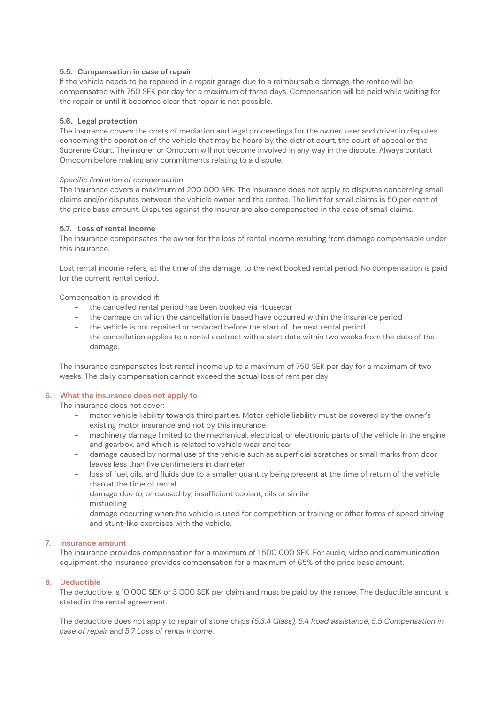# **5.5. Compensation in case of repair**

If the vehicle needs to be repaired in a repair garage due to a reimbursable damage, the rentee will be compensated with 750 SEK per day for a maximum of three days. Compensation will be paid while waiting for the repair or until it becomes clear that repair is not possible.

# **5.6. Legal protection**

The insurance covers the costs of mediation and legal proceedings for the owner, user and driver in disputes concerning the operation of the vehicle that may be heard by the district court, the court of appeal or the Supreme Court. The insurer or Omocom will not become involved in any way in the dispute. Always contact Omocom before making any commitments relating to a dispute.

# *Specific limitation of compensation*

The insurance covers a maximum of 200 000 SEK. The insurance does not apply to disputes concerning small claims and/or disputes between the vehicle owner and the rentee. The limit for small claims is 50 per cent of the price base amount. Disputes against the insurer are also compensated in the case of small claims.

# **5.7. Loss of rental income**

The insurance compensates the owner for the loss of rental income resulting from damage compensable under this insurance.

Lost rental income refers, at the time of the damage, to the next booked rental period. No compensation is paid for the current rental period.

Compensation is provided if:

- the cancelled rental period has been booked via Housecar
- the damage on which the cancellation is based have occurred within the insurance period
- the vehicle is not repaired or replaced before the start of the next rental period
- the cancellation applies to a rental contract with a start date within two weeks from the date of the damage.

The insurance compensates lost rental income up to a maximum of 750 SEK per day for a maximum of two weeks. The daily compensation cannot exceed the actual loss of rent per day.

# **6. What the insurance does not apply to**

The insurance does not cover:

- motor vehicle liability towards third parties. Motor vehicle liability must be covered by the owner's existing motor insurance and not by this insurance
- machinery damage limited to the mechanical, electrical, or electronic parts of the vehicle in the engine and gearbox, and which is related to vehicle wear and tear
- damage caused by normal use of the vehicle such as superficial scratches or small marks from door leaves less than five centimeters in diameter
- loss of fuel, oils, and fluids due to a smaller quantity being present at the time of return of the vehicle than at the time of rental
- damage due to, or caused by, insufficient coolant, oils or similar
- misfuelling
- damage occurring when the vehicle is used for competition or training or other forms of speed driving and stunt-like exercises with the vehicle.

# **7. Insurance amount**

The insurance provides compensation for a maximum of 1 500 000 SEK. For audio, video and communication equipment, the insurance provides compensation for a maximum of 65% of the price base amount.

# **8. Deductible**

The deductible is 10 000 SEK or 3 000 SEK per claim and must be paid by the rentee. The deductible amount is stated in the rental agreement.

The deductible does not apply to repair of stone chips *(5.3.4 Glass), 5.4 Road assistance*, *5.5 Compensation in case of repair* and *5.7 Loss of rental income*.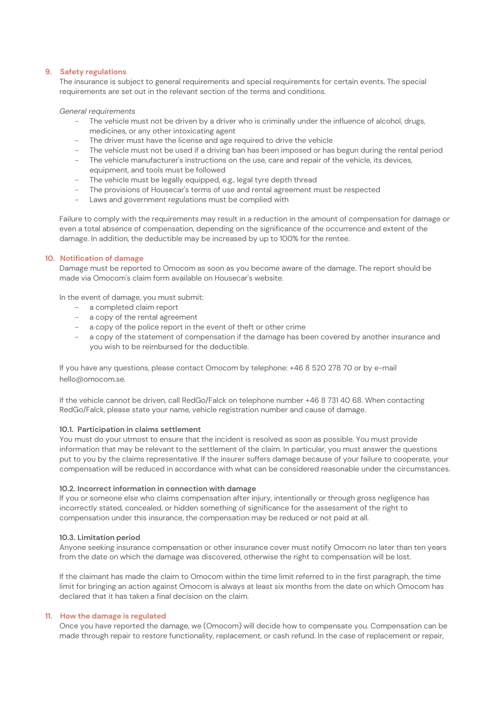# **9. Safety regulations**

The insurance is subject to general requirements and special requirements for certain events. The special requirements are set out in the relevant section of the terms and conditions.

#### *General requirements*

- The vehicle must not be driven by a driver who is criminally under the influence of alcohol, drugs, medicines, or any other intoxicating agent
- The driver must have the license and age required to drive the vehicle
- The vehicle must not be used if a driving ban has been imposed or has begun during the rental period
- The vehicle manufacturer's instructions on the use, care and repair of the vehicle, its devices, equipment, and tools must be followed
- The vehicle must be legally equipped, e.g., legal tyre depth thread
- The provisions of Housecar's terms of use and rental agreement must be respected
- Laws and government regulations must be complied with

Failure to comply with the requirements may result in a reduction in the amount of compensation for damage or even a total absence of compensation, depending on the significance of the occurrence and extent of the damage. In addition, the deductible may be increased by up to 100% for the rentee.

# **10. Notification of damage**

Damage must be reported to Omocom as soon as you become aware of the damage. The report should be made via Omocom's claim form available on Housecar's website.

In the event of damage, you must submit:

- a completed claim report
- a copy of the rental agreement
- a copy of the police report in the event of theft or other crime
- a copy of the statement of compensation if the damage has been covered by another insurance and you wish to be reimbursed for the deductible.

If you have any questions, please contact Omocom by telephone: +46 8 520 278 70 or by e-mail hello@omocom.se.

If the vehicle cannot be driven, call RedGo/Falck on telephone number +46 8 731 40 68. When contacting RedGo/Falck, please state your name, vehicle registration number and cause of damage.

#### **10.1. Participation in claims settlement**

You must do your utmost to ensure that the incident is resolved as soon as possible. You must provide information that may be relevant to the settlement of the claim. In particular, you must answer the questions put to you by the claims representative. If the insurer suffers damage because of your failure to cooperate, your compensation will be reduced in accordance with what can be considered reasonable under the circumstances.

#### **10.2. Incorrect information in connection with damage**

If you or someone else who claims compensation after injury, intentionally or through gross negligence has incorrectly stated, concealed, or hidden something of significance for the assessment of the right to compensation under this insurance, the compensation may be reduced or not paid at all.

#### **10.3. Limitation period**

Anyone seeking insurance compensation or other insurance cover must notify Omocom no later than ten years from the date on which the damage was discovered, otherwise the right to compensation will be lost.

If the claimant has made the claim to Omocom within the time limit referred to in the first paragraph, the time limit for bringing an action against Omocom is always at least six months from the date on which Omocom has declared that it has taken a final decision on the claim.

# **11. How the damage is regulated**

Once you have reported the damage, we (Omocom) will decide how to compensate you. Compensation can be made through repair to restore functionality, replacement, or cash refund. In the case of replacement or repair,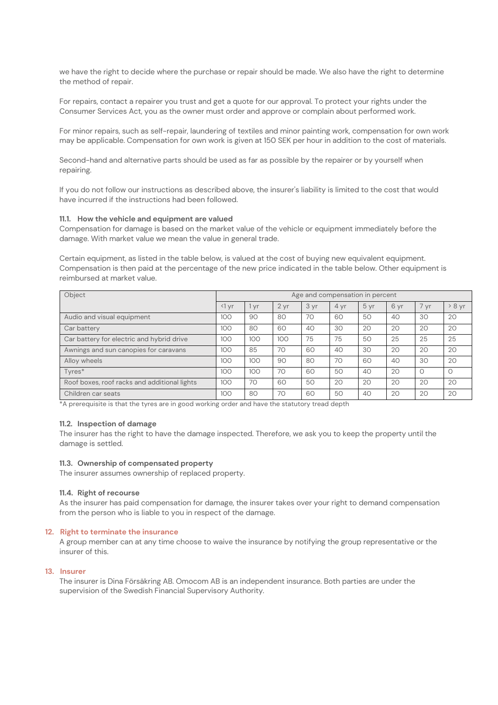we have the right to decide where the purchase or repair should be made. We also have the right to determine the method of repair.

For repairs, contact a repairer you trust and get a quote for our approval. To protect your rights under the Consumer Services Act, you as the owner must order and approve or complain about performed work.

For minor repairs, such as self-repair, laundering of textiles and minor painting work, compensation for own work may be applicable. Compensation for own work is given at 150 SEK per hour in addition to the cost of materials.

Second-hand and alternative parts should be used as far as possible by the repairer or by yourself when repairing.

If you do not follow our instructions as described above, the insurer's liability is limited to the cost that would have incurred if the instructions had been followed.

# **11.1. How the vehicle and equipment are valued**

Compensation for damage is based on the market value of the vehicle or equipment immediately before the damage. With market value we mean the value in general trade.

Certain equipment, as listed in the table below, is valued at the cost of buying new equivalent equipment. Compensation is then paid at the percentage of the new price indicated in the table below. Other equipment is reimbursed at market value.

| Object                                       | Age and compensation in percent |     |                 |      |      |      |      |          |          |
|----------------------------------------------|---------------------------------|-----|-----------------|------|------|------|------|----------|----------|
|                                              | $\triangleleft$ yr              | vr  | 2 <sub>yr</sub> | 3 yr | 4 vr | 5 yr | 6 yr | 7 yr     | > 8 yr   |
| Audio and visual equipment                   | 100                             | 90  | 80              | 70   | 60   | 50   | AC   | 30       | 20       |
| Car battery                                  | 100                             | 80  | 60              | 40   | 30   | 20   | 20   | 20       | 20       |
| Car battery for electric and hybrid drive    | 100                             | 100 | 100             | 75   | 75   | 50   | 25   | 25       | 25       |
| Awnings and sun canopies for caravans        | 100                             | 85  | 70              | 60   | 40   | 30   | 20   | 20       | 20       |
| Alloy wheels                                 | 100                             | 100 | 90              | 80   | 70   | 60   | AC   | 30       | 20       |
| Tyres*                                       | 100                             | 100 | 70              | 60   | 50   | 40   | 20   | $\Omega$ | $\Omega$ |
| Roof boxes, roof racks and additional lights | 100                             | 70  | 60              | 50   | 20   | 20   | 20   | 20       | 20       |
| Children car seats                           | 100                             | 80  | 70              | 60   | 50   | 40   | 20   | 20       | 20       |

\*A prerequisite is that the tyres are in good working order and have the statutory tread depth

#### **11.2. Inspection of damage**

The insurer has the right to have the damage inspected. Therefore, we ask you to keep the property until the damage is settled.

## **11.3. Ownership of compensated property**

The insurer assumes ownership of replaced property.

#### **11.4. Right of recourse**

As the insurer has paid compensation for damage, the insurer takes over your right to demand compensation from the person who is liable to you in respect of the damage.

#### **12. Right to terminate the insurance**

A group member can at any time choose to waive the insurance by notifying the group representative or the insurer of this.

#### **13. Insurer**

The insurer is Dina Försäkring AB. Omocom AB is an independent insurance. Both parties are under the supervision of the Swedish Financial Supervisory Authority.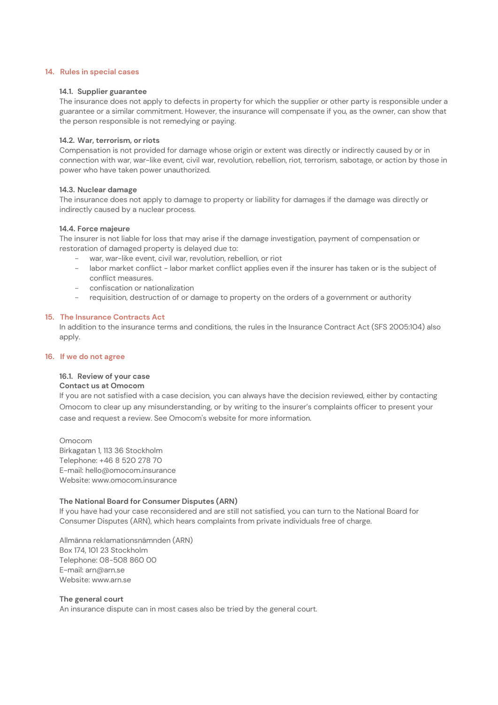#### **14. Rules in special cases**

#### **14.1. Supplier guarantee**

The insurance does not apply to defects in property for which the supplier or other party is responsible under a guarantee or a similar commitment. However, the insurance will compensate if you, as the owner, can show that the person responsible is not remedying or paying.

#### **14.2. War, terrorism, or riots**

Compensation is not provided for damage whose origin or extent was directly or indirectly caused by or in connection with war, war-like event, civil war, revolution, rebellion, riot, terrorism, sabotage, or action by those in power who have taken power unauthorized.

#### **14.3. Nuclear damage**

The insurance does not apply to damage to property or liability for damages if the damage was directly or indirectly caused by a nuclear process.

#### **14.4. Force majeure**

The insurer is not liable for loss that may arise if the damage investigation, payment of compensation or restoration of damaged property is delayed due to:

- war, war-like event, civil war, revolution, rebellion, or riot
- labor market conflict labor market conflict applies even if the insurer has taken or is the subject of conflict measures.
- confiscation or nationalization
- requisition, destruction of or damage to property on the orders of a government or authority

#### **15. The Insurance Contracts Act**

In addition to the insurance terms and conditions, the rules in the Insurance Contract Act (SFS 2005:104) also apply.

#### **16. If we do not agree**

#### **16.1. Review of your case**

#### **Contact us at Omocom**

If you are not satisfied with a case decision, you can always have the decision reviewed, either by contacting Omocom to clear up any misunderstanding, or by writing to the insurer's complaints officer to present your case and request a review. See Omocom's website for more information.

Omocom Birkagatan 1, 113 36 Stockholm Telephone: +46 8 520 278 70 E-mail: hello@omocom.insurance Website: www.omocom.insurance

#### **The National Board for Consumer Disputes (ARN)**

If you have had your case reconsidered and are still not satisfied, you can turn to the National Board for Consumer Disputes (ARN), which hears complaints from private individuals free of charge.

Allmänna reklamationsnämnden (ARN) Box 174, 101 23 Stockholm Telephone: 08-508 860 00 E-mail: arn@arn.se Website: www.arn.se

#### **The general court**

An insurance dispute can in most cases also be tried by the general court.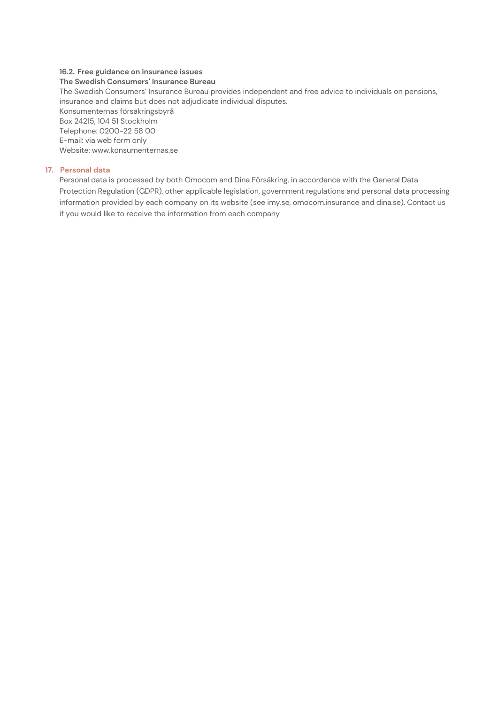# **16.2. Free guidance on insurance issues**

# **The Swedish Consumers' Insurance Bureau**

The Swedish Consumers' Insurance Bureau provides independent and free advice to individuals on pensions, insurance and claims but does not adjudicate individual disputes. Konsumenternas försäkringsbyrå Box 24215, 104 51 Stockholm Telephone: 0200-22 58 00 E-mail: via web form only Website: www.konsumenternas.se

# **17. Personal data**

Personal data is processed by both Omocom and Dina Försäkring, in accordance with the General Data Protection Regulation (GDPR), other applicable legislation, government regulations and personal data processing information provided by each company on its website (see imy.se, omocom.insurance and dina.se). Contact us if you would like to receive the information from each company